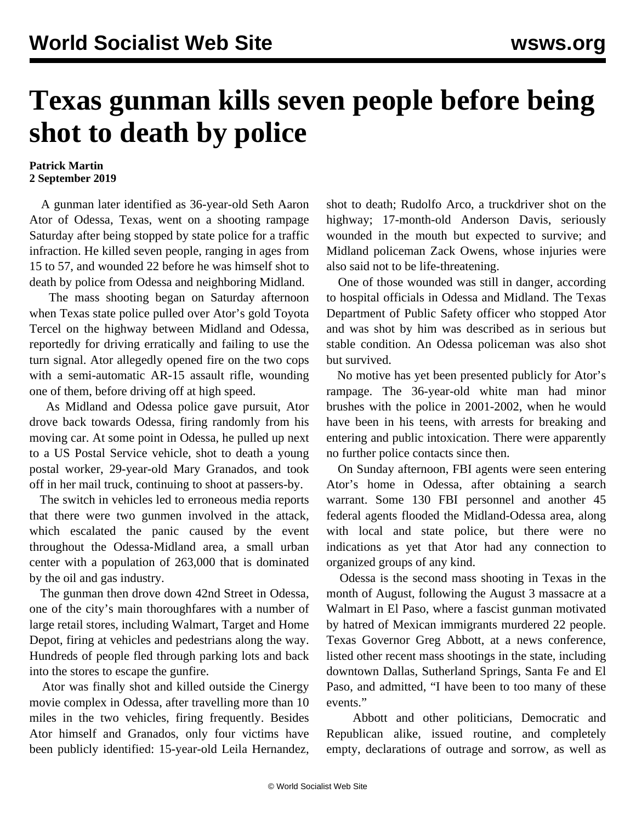## **Texas gunman kills seven people before being shot to death by police**

## **Patrick Martin 2 September 2019**

 A gunman later identified as 36-year-old Seth Aaron Ator of Odessa, Texas, went on a shooting rampage Saturday after being stopped by state police for a traffic infraction. He killed seven people, ranging in ages from 15 to 57, and wounded 22 before he was himself shot to death by police from Odessa and neighboring Midland.

 The mass shooting began on Saturday afternoon when Texas state police pulled over Ator's gold Toyota Tercel on the highway between Midland and Odessa, reportedly for driving erratically and failing to use the turn signal. Ator allegedly opened fire on the two cops with a semi-automatic AR-15 assault rifle, wounding one of them, before driving off at high speed.

 As Midland and Odessa police gave pursuit, Ator drove back towards Odessa, firing randomly from his moving car. At some point in Odessa, he pulled up next to a US Postal Service vehicle, shot to death a young postal worker, 29-year-old Mary Granados, and took off in her mail truck, continuing to shoot at passers-by.

 The switch in vehicles led to erroneous media reports that there were two gunmen involved in the attack, which escalated the panic caused by the event throughout the Odessa-Midland area, a small urban center with a population of 263,000 that is dominated by the oil and gas industry.

 The gunman then drove down 42nd Street in Odessa, one of the city's main thoroughfares with a number of large retail stores, including Walmart, Target and Home Depot, firing at vehicles and pedestrians along the way. Hundreds of people fled through parking lots and back into the stores to escape the gunfire.

 Ator was finally shot and killed outside the Cinergy movie complex in Odessa, after travelling more than 10 miles in the two vehicles, firing frequently. Besides Ator himself and Granados, only four victims have been publicly identified: 15-year-old Leila Hernandez, shot to death; Rudolfo Arco, a truckdriver shot on the highway; 17-month-old Anderson Davis, seriously wounded in the mouth but expected to survive; and Midland policeman Zack Owens, whose injuries were also said not to be life-threatening.

 One of those wounded was still in danger, according to hospital officials in Odessa and Midland. The Texas Department of Public Safety officer who stopped Ator and was shot by him was described as in serious but stable condition. An Odessa policeman was also shot but survived.

 No motive has yet been presented publicly for Ator's rampage. The 36-year-old white man had minor brushes with the police in 2001-2002, when he would have been in his teens, with arrests for breaking and entering and public intoxication. There were apparently no further police contacts since then.

 On Sunday afternoon, FBI agents were seen entering Ator's home in Odessa, after obtaining a search warrant. Some 130 FBI personnel and another 45 federal agents flooded the Midland-Odessa area, along with local and state police, but there were no indications as yet that Ator had any connection to organized groups of any kind.

 Odessa is the second mass shooting in Texas in the month of August, following the August 3 massacre at a Walmart in El Paso, where a fascist gunman motivated by hatred of Mexican immigrants murdered 22 people. Texas Governor Greg Abbott, at a news conference, listed other recent mass shootings in the state, including downtown Dallas, Sutherland Springs, Santa Fe and El Paso, and admitted, "I have been to too many of these events."

 Abbott and other politicians, Democratic and Republican alike, issued routine, and completely empty, declarations of outrage and sorrow, as well as